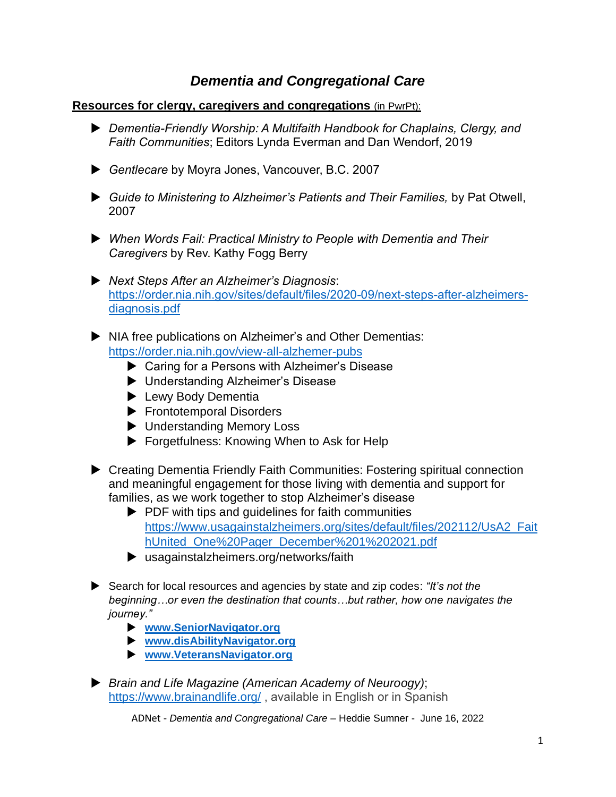## *Dementia and Congregational Care*

## **Resources for clergy, caregivers and congregations** (in PwrPt):

- *Dementia-Friendly Worship: A Multifaith Handbook for Chaplains, Clergy, and Faith Communities*; Editors Lynda Everman and Dan Wendorf, 2019
- *Gentlecare* by Moyra Jones, Vancouver, B.C. 2007
- *Guide to Ministering to Alzheimer's Patients and Their Families,* by Pat Otwell, 2007
- *When Words Fail: Practical Ministry to People with Dementia and Their Caregivers* by Rev. Kathy Fogg Berry
- *Next Steps After an Alzheimer's Diagnosis*: [https://order.nia.nih.gov/sites/default/files/2020-09/next-steps-after-alzheimers](https://order.nia.nih.gov/sites/default/files/2020-09/next-steps-after-alzheimers-diagnosis.pdf)[diagnosis.pdf](https://order.nia.nih.gov/sites/default/files/2020-09/next-steps-after-alzheimers-diagnosis.pdf)
- NIA free publications on Alzheimer's and Other Dementias: <https://order.nia.nih.gov/view-all-alzhemer-pubs>
	- ▶ Caring for a Persons with Alzheimer's Disease
	- Understanding Alzheimer's Disease
	- **Lewy Body Dementia**
	- Frontotemporal Disorders
	- **D** Understanding Memory Loss
	- ▶ Forgetfulness: Knowing When to Ask for Help
- ▶ Creating Dementia Friendly Faith Communities: Fostering spiritual connection and meaningful engagement for those living with dementia and support for families, as we work together to stop Alzheimer's disease
	- $\blacktriangleright$  PDF with tips and quidelines for faith communities [https://www.usagainstalzheimers.org/sites/default/files/202112/UsA2\\_Fait](https://www.usagainstalzheimers.org/sites/default/files/202112/UsA2_FaithUnited_One%20Pager_December%201%202021.pdf) [hUnited\\_One%20Pager\\_December%201%202021.pdf](https://www.usagainstalzheimers.org/sites/default/files/202112/UsA2_FaithUnited_One%20Pager_December%201%202021.pdf)
	- usagainstalzheimers.org/networks/faith
- Search for local resources and agencies by state and zip codes: *"It's not the beginning…or even the destination that counts…but rather, how one navigates the journey."*
	- **[www.SeniorNavigator.org](http://www.seniornavigator.org/)**
	- **[www.disAbilityNavigator.org](http://www.disabilitynavigator.org/)**
	- **[www.VeteransNavigator.org](http://www.veteransnavigator.org/)**
- *Brain and Life Magazine (American Academy of Neuroogy)*; <https://www.brainandlife.org/>, available in English or in Spanish

ADNet - *Dementia and Congregational Care* – Heddie Sumner - June 16, 2022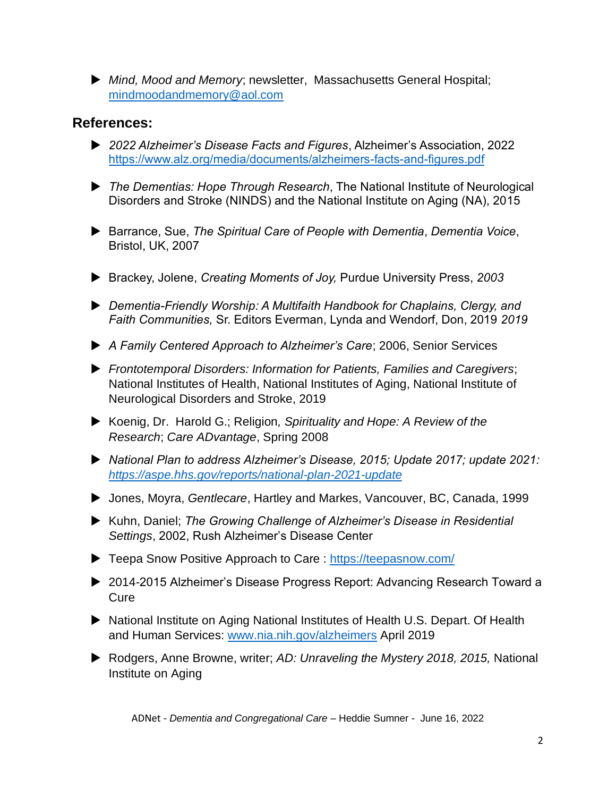*Mind, Mood and Memory*; newsletter, Massachusetts General Hospital; [mindmoodandmemory@aol.com](mailto:mindmoodandmemory@aol.com) 

## **References:**

- *2022 Alzheimer's Disease Facts and Figures*, Alzheimer's Association, 2022 <https://www.alz.org/media/documents/alzheimers-facts-and-figures.pdf>
- *The Dementias: Hope Through Research*, The National Institute of Neurological Disorders and Stroke (NINDS) and the National Institute on Aging (NA), 2015
- Barrance, Sue, *The Spiritual Care of People with Dementia*, *Dementia Voice*, Bristol, UK, 2007
- Brackey, Jolene, *Creating Moments of Joy,* Purdue University Press, *2003*
- *Dementia-Friendly Worship: A Multifaith Handbook for Chaplains, Clergy, and Faith Communities,* Sr. Editors Everman, Lynda and Wendorf, Don, 2019 *2019*
- *A Family Centered Approach to Alzheimer's Care*; 2006, Senior Services
- *Frontotemporal Disorders: Information for Patients, Families and Caregivers*; National Institutes of Health, National Institutes of Aging, National Institute of Neurological Disorders and Stroke, 2019
- Koenig, Dr. Harold G.; Religion*, Spirituality and Hope: A Review of the Research*; *Care ADvantage*, Spring 2008
- *National Plan to address Alzheimer's Disease, 2015; Update 2017; update 2021: <https://aspe.hhs.gov/reports/national-plan-2021-update>*
- ▶ Jones, Moyra, *Gentlecare*, Hartley and Markes, Vancouver, BC, Canada, 1999
- Kuhn, Daniel; *The Growing Challenge of Alzheimer's Disease in Residential Settings*, 2002, Rush Alzheimer's Disease Center
- ▶ Teepa Snow Positive Approach to Care :<https://teepasnow.com/>
- ▶ 2014-2015 Alzheimer's Disease Progress Report: Advancing Research Toward a **Cure**
- ▶ National Institute on Aging National Institutes of Health U.S. Depart. Of Health and Human Services: [www.nia.nih.gov/alzheimers](http://www.nia.nih.gov/alzheimers) April 2019
- Rodgers, Anne Browne, writer; *AD: Unraveling the Mystery 2018, 2015,* National Institute on Aging

ADNet - *Dementia and Congregational Care* – Heddie Sumner - June 16, 2022